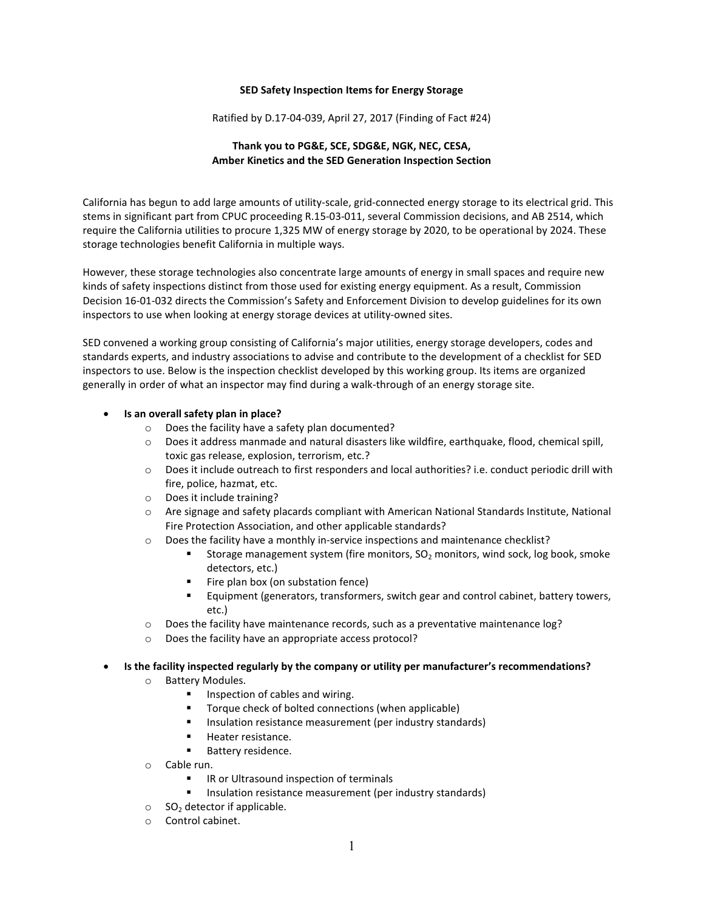## **SED Safety Inspection Items for Energy Storage**

Ratified by D.17-04-039, April 27, 2017 (Finding of Fact #24)

## **Thank you to PG&E, SCE, SDG&E, NGK, NEC, CESA, Amber Kinetics and the SED Generation Inspection Section**

California has begun to add large amounts of utility-scale, grid-connected energy storage to its electrical grid. This stems in significant part from CPUC proceeding R.15-03-011, several Commission decisions, and AB 2514, which require the California utilities to procure 1,325 MW of energy storage by 2020, to be operational by 2024. These storage technologies benefit California in multiple ways.

However, these storage technologies also concentrate large amounts of energy in small spaces and require new kinds of safety inspections distinct from those used for existing energy equipment. As a result, Commission Decision 16-01-032 directs the Commission's Safety and Enforcement Division to develop guidelines for its own inspectors to use when looking at energy storage devices at utility-owned sites.

SED convened a working group consisting of California's major utilities, energy storage developers, codes and standards experts, and industry associations to advise and contribute to the development of a checklist for SED inspectors to use. Below is the inspection checklist developed by this working group. Its items are organized generally in order of what an inspector may find during a walk-through of an energy storage site.

## • **Is an overall safety plan in place?**

- o Does the facility have a safety plan documented?
- o Does it address manmade and natural disasters like wildfire, earthquake, flood, chemical spill, toxic gas release, explosion, terrorism, etc.?
- o Does it include outreach to first responders and local authorities? i.e. conduct periodic drill with fire, police, hazmat, etc.
- o Does it include training?
- o Are signage and safety placards compliant with American National Standards Institute, National Fire Protection Association, and other applicable standards?
- $\circ$  Does the facility have a monthly in-service inspections and maintenance checklist?
	- Storage management system (fire monitors,  $SO_2$  monitors, wind sock, log book, smoke detectors, etc.)
	- Fire plan box (on substation fence)
	- Equipment (generators, transformers, switch gear and control cabinet, battery towers, etc.)
- $\circ$  Does the facility have maintenance records, such as a preventative maintenance log?
- o Does the facility have an appropriate access protocol?

## • **Is the facility inspected regularly by the company or utility per manufacturer's recommendations?**

- o Battery Modules.
	- **Inspection of cables and wiring.**
	- **Torque check of bolted connections (when applicable)**
	- Insulation resistance measurement (per industry standards)
	- **Heater resistance.**
	- **Battery residence.**
- o Cable run.
	- IR or Ultrasound inspection of terminals
	- **Insulation resistance measurement (per industry standards)**
- $\circ$  SO<sub>2</sub> detector if applicable.
- o Control cabinet.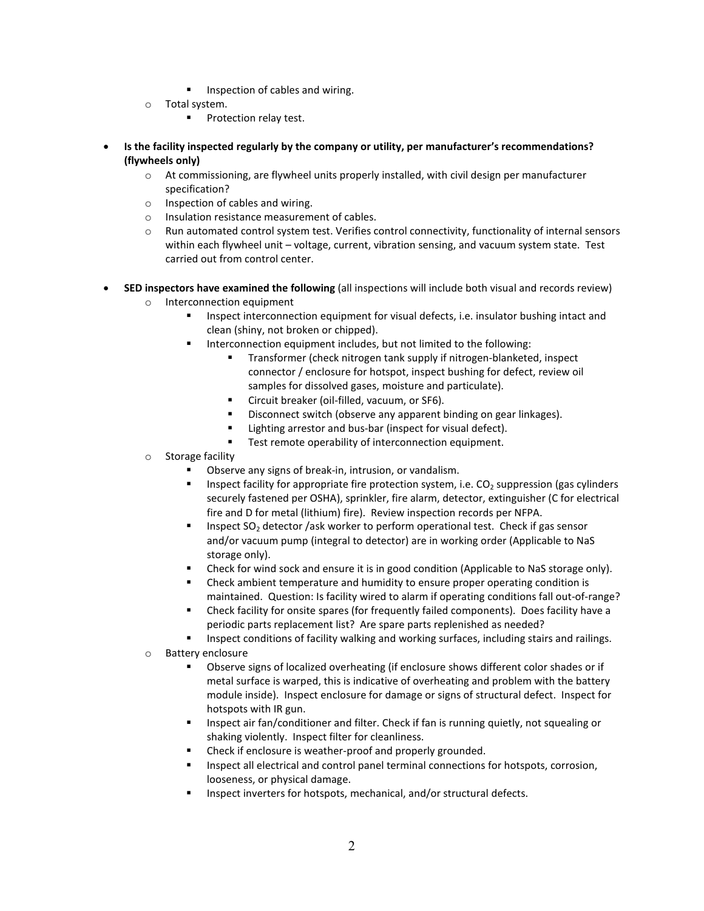- Inspection of cables and wiring.
- o Total system.
	- Protection relay test.
- **Is the facility inspected regularly by the company or utility, per manufacturer's recommendations? (flywheels only)** 
	- $\circ$  At commissioning, are flywheel units properly installed, with civil design per manufacturer specification?
	- o Inspection of cables and wiring.
	- o Insulation resistance measurement of cables.
	- o Run automated control system test. Verifies control connectivity, functionality of internal sensors within each flywheel unit – voltage, current, vibration sensing, and vacuum system state. Test carried out from control center.
- **SED inspectors have examined the following** (all inspections will include both visual and records review) o Interconnection equipment
	- Inspect interconnection equipment for visual defects, i.e. insulator bushing intact and clean (shiny, not broken or chipped).
	- Interconnection equipment includes, but not limited to the following:
		- Transformer (check nitrogen tank supply if nitrogen-blanketed, inspect connector / enclosure for hotspot, inspect bushing for defect, review oil samples for dissolved gases, moisture and particulate).
		- **EXEC** Circuit breaker (oil-filled, vacuum, or SF6).
		- Disconnect switch (observe any apparent binding on gear linkages).
		- Lighting arrestor and bus-bar (inspect for visual defect).
		- **Test remote operability of interconnection equipment.**
	- o Storage facility
		- Observe any signs of break-in, intrusion, or vandalism.
		- Inspect facility for appropriate fire protection system, i.e.  $CO<sub>2</sub>$  suppression (gas cylinders securely fastened per OSHA), sprinkler, fire alarm, detector, extinguisher (C for electrical fire and D for metal (lithium) fire). Review inspection records per NFPA.
		- **Inspect SO<sub>2</sub>** detector /ask worker to perform operational test. Check if gas sensor and/or vacuum pump (integral to detector) are in working order (Applicable to NaS storage only).
		- Check for wind sock and ensure it is in good condition (Applicable to NaS storage only).
		- Check ambient temperature and humidity to ensure proper operating condition is maintained. Question: Is facility wired to alarm if operating conditions fall out-of-range?
		- Check facility for onsite spares (for frequently failed components). Does facility have a periodic parts replacement list? Are spare parts replenished as needed?
		- Inspect conditions of facility walking and working surfaces, including stairs and railings.
	- o Battery enclosure
		- Observe signs of localized overheating (if enclosure shows different color shades or if metal surface is warped, this is indicative of overheating and problem with the battery module inside). Inspect enclosure for damage or signs of structural defect. Inspect for hotspots with IR gun.
		- Inspect air fan/conditioner and filter. Check if fan is running quietly, not squealing or shaking violently. Inspect filter for cleanliness.
		- Check if enclosure is weather-proof and properly grounded.
		- Inspect all electrical and control panel terminal connections for hotspots, corrosion, looseness, or physical damage.
		- Inspect inverters for hotspots, mechanical, and/or structural defects.